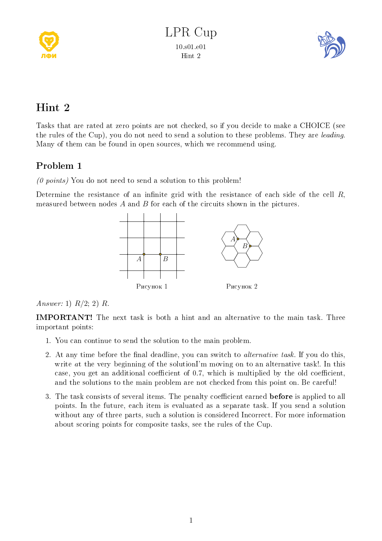



## Hint 2

Tasks that are rated at zero points are not checked, so if you decide to make a CHOICE (see the rules of the Cup), you do not need to send a solution to these problems. They are leading. Many of them can be found in open sources, which we recommend using.

## Problem 1

 $(0 \text{ points})$  You do not need to send a solution to this problem!

Determine the resistance of an infinite grid with the resistance of each side of the cell  $R$ , measured between nodes  $A$  and  $B$  for each of the circuits shown in the pictures.



Answer: 1)  $R/2$ ; 2) R.

IMPORTANT! The next task is both a hint and an alternative to the main task. Three important points:

- 1. You can continue to send the solution to the main problem.
- 2. At any time before the final deadline, you can switch to *alternative task*. If you do this, write at the very beginning of the solutionI'm moving on to an alternative task!. In this case, you get an additional coefficient of  $0.7$ , which is multiplied by the old coefficient, and the solutions to the main problem are not checked from this point on. Be careful!
- 3. The task consists of several items. The penalty coefficient earned **before** is applied to all points. In the future, each item is evaluated as a separate task. If you send a solution without any of three parts, such a solution is considered Incorrect. For more information about scoring points for composite tasks, see the rules of the Cup.